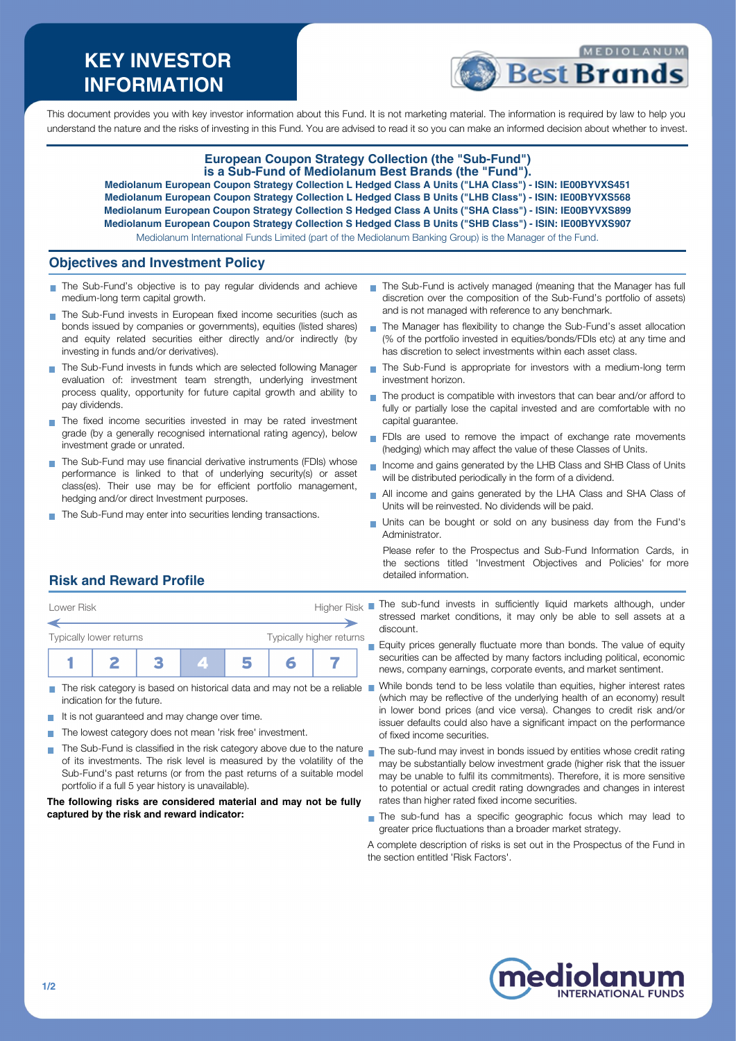# **KEY INVESTOR INFORMATION**



This document provides you with key investor information about this Fund. It is not marketing material. The information is required by law to help you understand the nature and the risks of investing in this Fund. You are advised to read it so you can make an informed decision about whether to invest.

## **European Coupon Strategy Collection (the "Sub-Fund") is a Sub-Fund of Mediolanum Best Brands (the "Fund"). Mediolanum European Coupon Strategy Collection L Hedged Class A Units ("LHA Class") - ISIN: IE00BYVXS451 Mediolanum European Coupon Strategy Collection L Hedged Class B Units ("LHB Class") - ISIN: IE00BYVXS568**

**Mediolanum European Coupon Strategy Collection S Hedged Class A Units ("SHA Class") - ISIN: IE00BYVXS899 Mediolanum European Coupon Strategy Collection S Hedged Class B Units ("SHB Class") - ISIN: IE00BYVXS907**

Mediolanum International Funds Limited (part of the Mediolanum Banking Group) is the Manager of the Fund.

### **Objectives and Investment Policy**

- The Sub-Fund's objective is to pay regular dividends and achieve medium-long term capital growth.
- The Sub-Fund invests in European fixed income securities (such as bonds issued by companies or governments), equities (listed shares) and equity related securities either directly and/or indirectly (by investing in funds and/or derivatives).
- The Sub-Fund invests in funds which are selected following Manager evaluation of: investment team strength, underlying investment process quality, opportunity for future capital growth and ability to pay dividends.
- The fixed income securities invested in may be rated investment grade (by a generally recognised international rating agency), below investment grade or unrated.
- The Sub-Fund may use financial derivative instruments (FDIs) whose performance is linked to that of underlying security(s) or asset class(es). Their use may be for efficient portfolio management, hedging and/or direct Investment purposes.
- The Sub-Fund may enter into securities lending transactions.
- The Sub-Fund is actively managed (meaning that the Manager has full discretion over the composition of the Sub-Fund's portfolio of assets) and is not managed with reference to any benchmark.
- The Manager has flexibility to change the Sub-Fund's asset allocation п (% of the portfolio invested in equities/bonds/FDIs etc) at any time and has discretion to select investments within each asset class.
- The Sub-Fund is appropriate for investors with a medium-long term investment horizon.
- The product is compatible with investors that can bear and/or afford to fully or partially lose the capital invested and are comfortable with no capital guarantee.
- FDIs are used to remove the impact of exchange rate movements (hedging) which may affect the value of these Classes of Units.
- Income and gains generated by the LHB Class and SHB Class of Units will be distributed periodically in the form of a dividend.
- All income and gains generated by the LHA Class and SHA Class of Units will be reinvested. No dividends will be paid.
- Units can be bought or sold on any business day from the Fund's Administrator.

Please refer to the Prospectus and Sub-Fund Information Cards, in the sections titled 'Investment Objectives and Policies' for more detailed information.

# **Risk and Reward Profile**



- The risk category is based on historical data and may not be a reliable **The State** indication for the future.
- It is not guaranteed and may change over time.
- The lowest category does not mean 'risk free' investment.  $\sim$
- The Sub-Fund is classified in the risk category above due to the nature  $_\blacksquare$  The sub-fund may invest in bonds issued by entities whose credit rating of its investments. The risk level is measured by the volatility of the Sub-Fund's past returns (or from the past returns of a suitable model portfolio if a full 5 year history is unavailable).

#### **The following risks are considered material and may not be fully captured by the risk and reward indicator:**

- stressed market conditions, it may only be able to sell assets at a discount.
	- Equity prices generally fluctuate more than bonds. The value of equity securities can be affected by many factors including political, economic news, company earnings, corporate events, and market sentiment.
	- While bonds tend to be less volatile than equities, higher interest rates (which may be reflective of the underlying health of an economy) result in lower bond prices (and vice versa). Changes to credit risk and/or issuer defaults could also have a significant impact on the performance of fixed income securities.
- may be substantially below investment grade (higher risk that the issuer may be unable to fulfil its commitments). Therefore, it is more sensitive to potential or actual credit rating downgrades and changes in interest rates than higher rated fixed income securities.
- The sub-fund has a specific geographic focus which may lead to greater price fluctuations than a broader market strategy.

A complete description of risks is set out in the Prospectus of the Fund in the section entitled 'Risk Factors'.